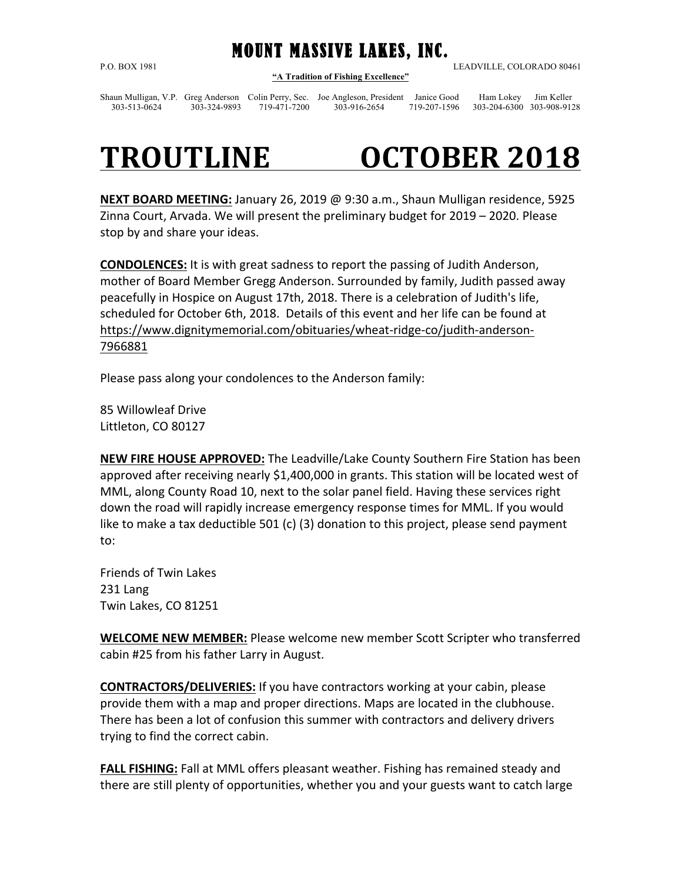MOUNT MASSIVE LAKES, INC. P.O. BOX 1981 LEADVILLE, COLORADO 80461 **"A Tradition of Fishing Excellence"**

Shaun Mulligan, V.P. Greg Anderson Colin Perry, Sec. Joe Angleson, President Janice Good Ham Lokey Jim Keller 303-513-0624 303-324-9893 719-471-7200 303-916-2654 719-207-1596 303-204-6300 303-908-9128

## TROUTLINE **OCTOBER 2018**

**NEXT BOARD MEETING:** January 26, 2019 @ 9:30 a.m., Shaun Mulligan residence, 5925 Zinna Court, Arvada. We will present the preliminary budget for 2019 – 2020. Please stop by and share your ideas.

**CONDOLENCES:** It is with great sadness to report the passing of Judith Anderson, mother of Board Member Gregg Anderson. Surrounded by family, Judith passed away peacefully in Hospice on August 17th, 2018. There is a celebration of Judith's life, scheduled for October 6th, 2018. Details of this event and her life can be found at https://www.dignitymemorial.com/obituaries/wheat-ridge-co/judith-anderson-7966881

Please pass along your condolences to the Anderson family:

85 Willowleaf Drive Littleton, CO 80127

**NEW FIRE HOUSE APPROVED:** The Leadville/Lake County Southern Fire Station has been approved after receiving nearly \$1,400,000 in grants. This station will be located west of MML, along County Road 10, next to the solar panel field. Having these services right down the road will rapidly increase emergency response times for MML. If you would like to make a tax deductible  $501$  (c) (3) donation to this project, please send payment to:

Friends of Twin Lakes 231 Lang Twin Lakes, CO 81251

**WELCOME NEW MEMBER:** Please welcome new member Scott Scripter who transferred cabin #25 from his father Larry in August.

**CONTRACTORS/DELIVERIES:** If you have contractors working at your cabin, please provide them with a map and proper directions. Maps are located in the clubhouse. There has been a lot of confusion this summer with contractors and delivery drivers trying to find the correct cabin.

**FALL FISHING:** Fall at MML offers pleasant weather. Fishing has remained steady and there are still plenty of opportunities, whether you and your guests want to catch large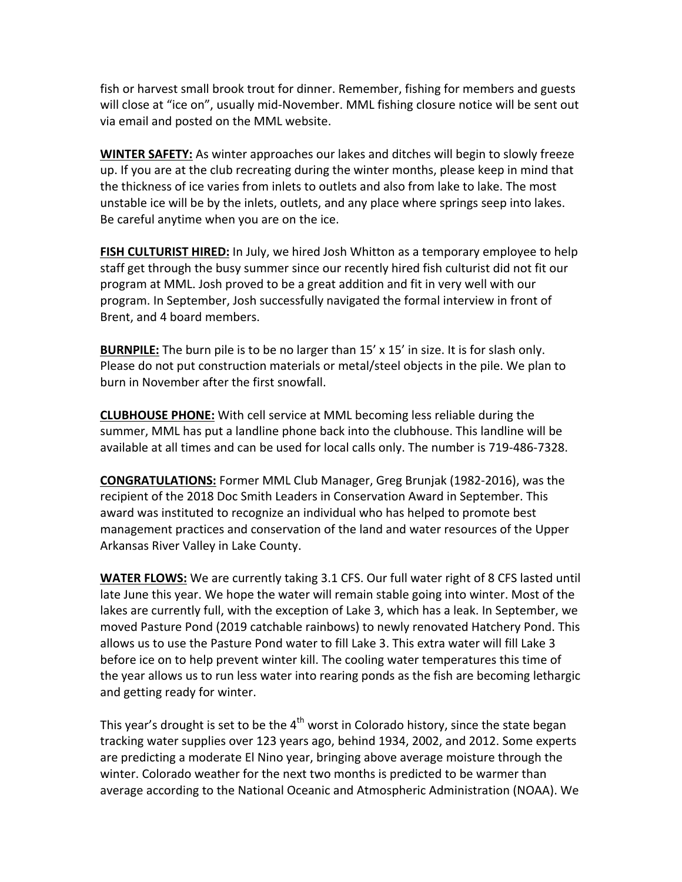fish or harvest small brook trout for dinner. Remember, fishing for members and guests will close at "ice on", usually mid-November. MML fishing closure notice will be sent out via email and posted on the MML website.

**WINTER SAFETY:** As winter approaches our lakes and ditches will begin to slowly freeze up. If you are at the club recreating during the winter months, please keep in mind that the thickness of ice varies from inlets to outlets and also from lake to lake. The most unstable ice will be by the inlets, outlets, and any place where springs seep into lakes. Be careful anytime when you are on the ice.

**FISH CULTURIST HIRED:** In July, we hired Josh Whitton as a temporary employee to help staff get through the busy summer since our recently hired fish culturist did not fit our program at MML. Josh proved to be a great addition and fit in very well with our program. In September, Josh successfully navigated the formal interview in front of Brent, and 4 board members.

**BURNPILE:** The burn pile is to be no larger than 15' x 15' in size. It is for slash only. Please do not put construction materials or metal/steel objects in the pile. We plan to burn in November after the first snowfall.

**CLUBHOUSE PHONE:** With cell service at MML becoming less reliable during the summer, MML has put a landline phone back into the clubhouse. This landline will be available at all times and can be used for local calls only. The number is 719-486-7328.

**CONGRATULATIONS:** Former MML Club Manager, Greg Brunjak (1982-2016), was the recipient of the 2018 Doc Smith Leaders in Conservation Award in September. This award was instituted to recognize an individual who has helped to promote best management practices and conservation of the land and water resources of the Upper Arkansas River Valley in Lake County.

**WATER FLOWS:** We are currently taking 3.1 CFS. Our full water right of 8 CFS lasted until late June this year. We hope the water will remain stable going into winter. Most of the lakes are currently full, with the exception of Lake 3, which has a leak. In September, we moved Pasture Pond (2019 catchable rainbows) to newly renovated Hatchery Pond. This allows us to use the Pasture Pond water to fill Lake 3. This extra water will fill Lake 3 before ice on to help prevent winter kill. The cooling water temperatures this time of the year allows us to run less water into rearing ponds as the fish are becoming lethargic and getting ready for winter.

This year's drought is set to be the  $4<sup>th</sup>$  worst in Colorado history, since the state began tracking water supplies over 123 years ago, behind 1934, 2002, and 2012. Some experts are predicting a moderate El Nino year, bringing above average moisture through the winter. Colorado weather for the next two months is predicted to be warmer than average according to the National Oceanic and Atmospheric Administration (NOAA). We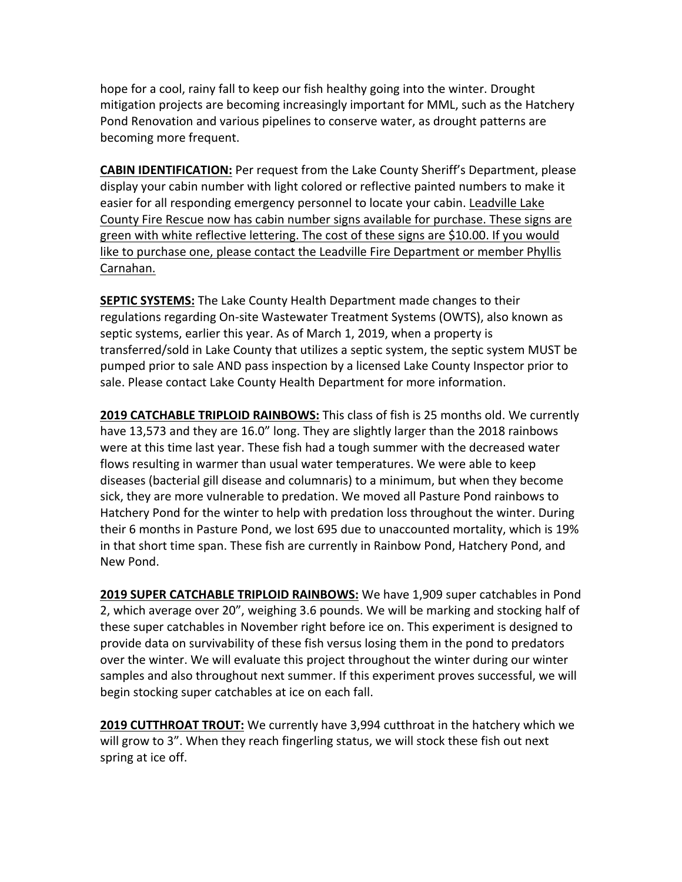hope for a cool, rainy fall to keep our fish healthy going into the winter. Drought mitigation projects are becoming increasingly important for MML, such as the Hatchery Pond Renovation and various pipelines to conserve water, as drought patterns are becoming more frequent.

**CABIN IDENTIFICATION:** Per request from the Lake County Sheriff's Department, please display your cabin number with light colored or reflective painted numbers to make it easier for all responding emergency personnel to locate your cabin. Leadville Lake County Fire Rescue now has cabin number signs available for purchase. These signs are green with white reflective lettering. The cost of these signs are \$10.00. If you would like to purchase one, please contact the Leadville Fire Department or member Phyllis Carnahan.

**SEPTIC SYSTEMS:** The Lake County Health Department made changes to their regulations regarding On-site Wastewater Treatment Systems (OWTS), also known as septic systems, earlier this year. As of March 1, 2019, when a property is transferred/sold in Lake County that utilizes a septic system, the septic system MUST be pumped prior to sale AND pass inspection by a licensed Lake County Inspector prior to sale. Please contact Lake County Health Department for more information.

**2019 CATCHABLE TRIPLOID RAINBOWS:** This class of fish is 25 months old. We currently have 13,573 and they are 16.0" long. They are slightly larger than the 2018 rainbows were at this time last year. These fish had a tough summer with the decreased water flows resulting in warmer than usual water temperatures. We were able to keep diseases (bacterial gill disease and columnaris) to a minimum, but when they become sick, they are more vulnerable to predation. We moved all Pasture Pond rainbows to Hatchery Pond for the winter to help with predation loss throughout the winter. During their 6 months in Pasture Pond, we lost 695 due to unaccounted mortality, which is 19% in that short time span. These fish are currently in Rainbow Pond, Hatchery Pond, and New Pond. 

**2019 SUPER CATCHABLE TRIPLOID RAINBOWS:** We have 1,909 super catchables in Pond 2, which average over 20", weighing 3.6 pounds. We will be marking and stocking half of these super catchables in November right before ice on. This experiment is designed to provide data on survivability of these fish versus losing them in the pond to predators over the winter. We will evaluate this project throughout the winter during our winter samples and also throughout next summer. If this experiment proves successful, we will begin stocking super catchables at ice on each fall.

**2019 CUTTHROAT TROUT:** We currently have 3,994 cutthroat in the hatchery which we will grow to 3". When they reach fingerling status, we will stock these fish out next spring at ice off.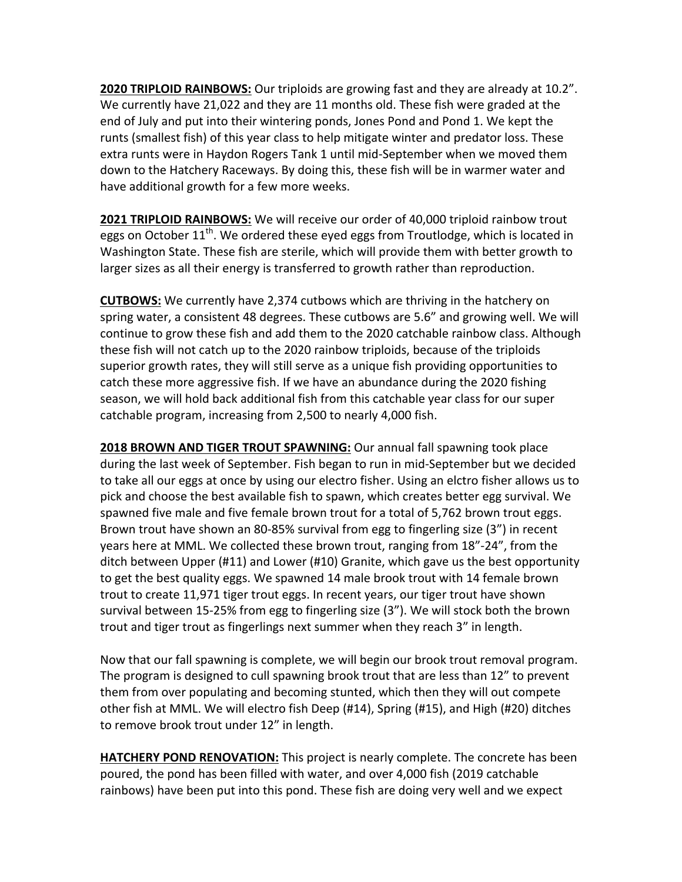**2020 TRIPLOID RAINBOWS:** Our triploids are growing fast and they are already at 10.2". We currently have 21,022 and they are 11 months old. These fish were graded at the end of July and put into their wintering ponds, Jones Pond and Pond 1. We kept the runts (smallest fish) of this year class to help mitigate winter and predator loss. These extra runts were in Haydon Rogers Tank 1 until mid-September when we moved them down to the Hatchery Raceways. By doing this, these fish will be in warmer water and have additional growth for a few more weeks.

**2021 TRIPLOID RAINBOWS:** We will receive our order of 40,000 triploid rainbow trout eggs on October 11<sup>th</sup>. We ordered these eyed eggs from Troutlodge, which is located in Washington State. These fish are sterile, which will provide them with better growth to larger sizes as all their energy is transferred to growth rather than reproduction.

**CUTBOWS:** We currently have 2,374 cutbows which are thriving in the hatchery on spring water, a consistent 48 degrees. These cutbows are 5.6" and growing well. We will continue to grow these fish and add them to the 2020 catchable rainbow class. Although these fish will not catch up to the 2020 rainbow triploids, because of the triploids superior growth rates, they will still serve as a unique fish providing opportunities to catch these more aggressive fish. If we have an abundance during the 2020 fishing season, we will hold back additional fish from this catchable year class for our super catchable program, increasing from 2,500 to nearly 4,000 fish.

**2018 BROWN AND TIGER TROUT SPAWNING:** Our annual fall spawning took place during the last week of September. Fish began to run in mid-September but we decided to take all our eggs at once by using our electro fisher. Using an elctro fisher allows us to pick and choose the best available fish to spawn, which creates better egg survival. We spawned five male and five female brown trout for a total of 5,762 brown trout eggs. Brown trout have shown an 80-85% survival from egg to fingerling size (3") in recent years here at MML. We collected these brown trout, ranging from 18"-24", from the ditch between Upper  $(H11)$  and Lower  $(H10)$  Granite, which gave us the best opportunity to get the best quality eggs. We spawned 14 male brook trout with 14 female brown trout to create 11,971 tiger trout eggs. In recent years, our tiger trout have shown survival between 15-25% from egg to fingerling size  $(3")$ . We will stock both the brown trout and tiger trout as fingerlings next summer when they reach 3" in length.

Now that our fall spawning is complete, we will begin our brook trout removal program. The program is designed to cull spawning brook trout that are less than 12" to prevent them from over populating and becoming stunted, which then they will out compete other fish at MML. We will electro fish Deep (#14), Spring (#15), and High (#20) ditches to remove brook trout under 12" in length.

**HATCHERY POND RENOVATION:** This project is nearly complete. The concrete has been poured, the pond has been filled with water, and over 4,000 fish (2019 catchable rainbows) have been put into this pond. These fish are doing very well and we expect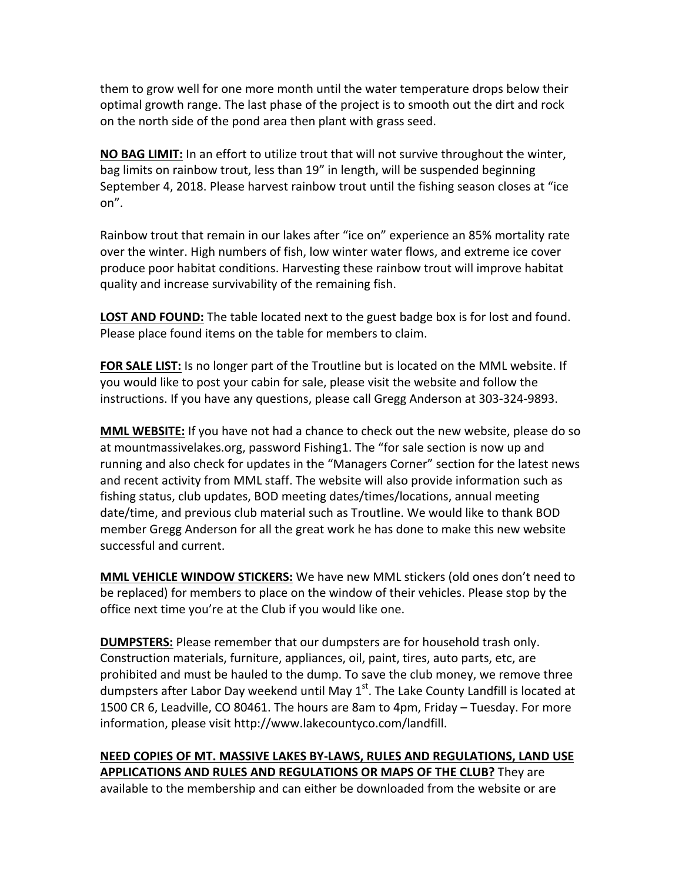them to grow well for one more month until the water temperature drops below their optimal growth range. The last phase of the project is to smooth out the dirt and rock on the north side of the pond area then plant with grass seed.

**NO** BAG LIMIT: In an effort to utilize trout that will not survive throughout the winter, bag limits on rainbow trout, less than 19" in length, will be suspended beginning September 4, 2018. Please harvest rainbow trout until the fishing season closes at "ice on".

Rainbow trout that remain in our lakes after "ice on" experience an 85% mortality rate over the winter. High numbers of fish, low winter water flows, and extreme ice cover produce poor habitat conditions. Harvesting these rainbow trout will improve habitat quality and increase survivability of the remaining fish.

**LOST AND FOUND:** The table located next to the guest badge box is for lost and found. Please place found items on the table for members to claim.

**FOR SALE LIST:** Is no longer part of the Troutline but is located on the MML website. If you would like to post your cabin for sale, please visit the website and follow the instructions. If you have any questions, please call Gregg Anderson at 303-324-9893.

**MML WEBSITE:** If you have not had a chance to check out the new website, please do so at mountmassivelakes.org, password Fishing1. The "for sale section is now up and running and also check for updates in the "Managers Corner" section for the latest news and recent activity from MML staff. The website will also provide information such as fishing status, club updates, BOD meeting dates/times/locations, annual meeting date/time, and previous club material such as Troutline. We would like to thank BOD member Gregg Anderson for all the great work he has done to make this new website successful and current.

**MML VEHICLE WINDOW STICKERS:** We have new MML stickers (old ones don't need to be replaced) for members to place on the window of their vehicles. Please stop by the office next time you're at the Club if you would like one.

**DUMPSTERS:** Please remember that our dumpsters are for household trash only. Construction materials, furniture, appliances, oil, paint, tires, auto parts, etc, are prohibited and must be hauled to the dump. To save the club money, we remove three dumpsters after Labor Day weekend until May  $1^{st}$ . The Lake County Landfill is located at 1500 CR 6, Leadville, CO 80461. The hours are 8am to 4pm, Friday – Tuesday. For more information, please visit http://www.lakecountyco.com/landfill.

**NEED COPIES OF MT. MASSIVE LAKES BY-LAWS, RULES AND REGULATIONS, LAND USE APPLICATIONS AND RULES AND REGULATIONS OR MAPS OF THE CLUB?** They are available to the membership and can either be downloaded from the website or are